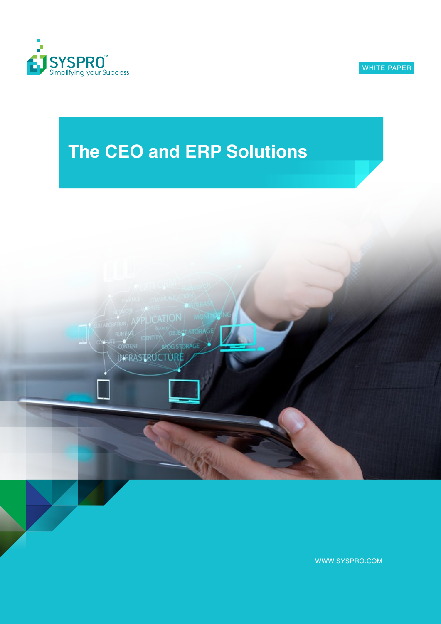

# **The CEO and ERP Solutions**



WWW.SYSPRO.COM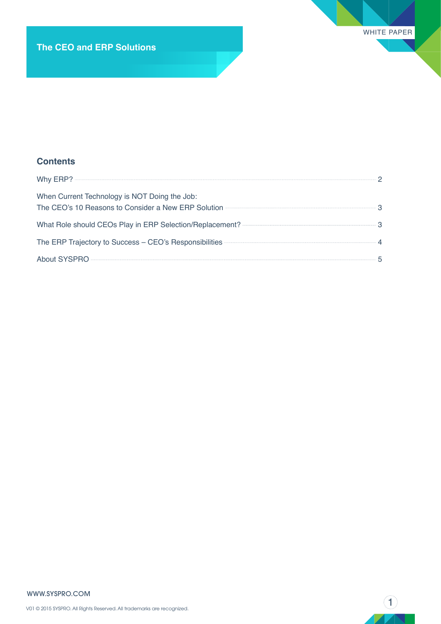### **Contents**

| When Current Technology is NOT Doing the Job:<br>The CEO's 10 Reasons to Consider a New ERP Solution <b>CONSIDENT STATE OF SOLUTION</b> |  |
|-----------------------------------------------------------------------------------------------------------------------------------------|--|
|                                                                                                                                         |  |
| The ERP Trajectory to Success - CEO's Responsibilities <b>CONSCRY 1999</b> 4                                                            |  |
|                                                                                                                                         |  |

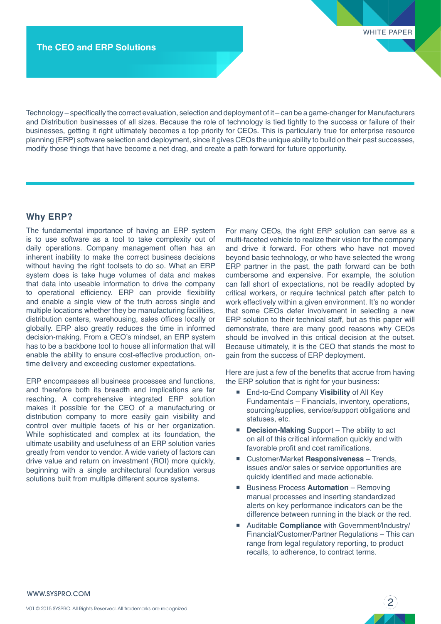Technology – specifically the correct evaluation, selection and deployment of it – can be a game-changer for Manufacturers and Distribution businesses of all sizes. Because the role of technology is tied tightly to the success or failure of their businesses, getting it right ultimately becomes a top priority for CEOs. This is particularly true for enterprise resource planning (ERP) software selection and deployment, since it gives CEOs the unique ability to build on their past successes, modify those things that have become a net drag, and create a path forward for future opportunity.

#### **Why ERP?**

The fundamental importance of having an ERP system is to use software as a tool to take complexity out of daily operations. Company management often has an inherent inability to make the correct business decisions without having the right toolsets to do so. What an ERP system does is take huge volumes of data and makes that data into useable information to drive the company to operational efficiency. ERP can provide flexibility and enable a single view of the truth across single and multiple locations whether they be manufacturing facilities, distribution centers, warehousing, sales offices locally or globally. ERP also greatly reduces the time in informed decision-making. From a CEO's mindset, an ERP system has to be a backbone tool to house all information that will enable the ability to ensure cost-effective production, ontime delivery and exceeding customer expectations.

ERP encompasses all business processes and functions, and therefore both its breadth and implications are far reaching. A comprehensive integrated ERP solution makes it possible for the CEO of a manufacturing or distribution company to more easily gain visibility and control over multiple facets of his or her organization. While sophisticated and complex at its foundation, the ultimate usability and usefulness of an ERP solution varies greatly from vendor to vendor. A wide variety of factors can drive value and return on investment (ROI) more quickly, beginning with a single architectural foundation versus solutions built from multiple different source systems.

For many CEOs, the right ERP solution can serve as a multi-faceted vehicle to realize their vision for the company and drive it forward. For others who have not moved beyond basic technology, or who have selected the wrong ERP partner in the past, the path forward can be both cumbersome and expensive. For example, the solution can fall short of expectations, not be readily adopted by critical workers, or require technical patch after patch to work effectively within a given environment. It's no wonder that some CEOs defer involvement in selecting a new ERP solution to their technical staff, but as this paper will demonstrate, there are many good reasons why CEOs should be involved in this critical decision at the outset. Because ultimately, it is the CEO that stands the most to gain from the success of ERP deployment.

Here are just a few of the benefits that accrue from having the ERP solution that is right for your business:

- End-to-End Company Visibility of All Key Fundamentals – Financials, inventory, operations, sourcing/supplies, service/support obligations and statuses, etc.
- **Decision-Making** Support The ability to act on all of this critical information quickly and with favorable profit and cost ramifications.
- Customer/Market **Responsiveness** Trends, issues and/or sales or service opportunities are quickly identified and made actionable.
- Business Process **Automation** Removing manual processes and inserting standardized alerts on key performance indicators can be the difference between running in the black or the red.
- Auditable **Compliance** with Government/Industry/ Financial/Customer/Partner Regulations – This can range from legal regulatory reporting, to product recalls, to adherence, to contract terms.

2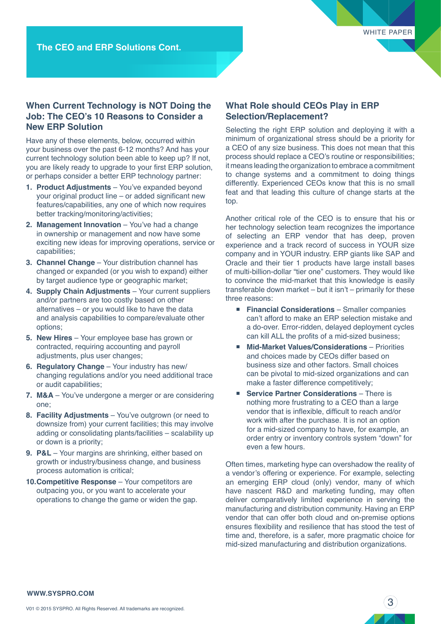WHITE PAPER

#### **When Current Technology is NOT Doing the Job: The CEO's 10 Reasons to Consider a New ERP Solution**

Have any of these elements, below, occurred within your business over the past 6-12 months? And has your current technology solution been able to keep up? If not, you are likely ready to upgrade to your first ERP solution, or perhaps consider a better ERP technology partner:

- **1. Product Adjustments** You've expanded beyond your original product line – or added significant new features/capabilities, any one of which now requires better tracking/monitoring/activities;
- **2. Management Innovation** You've had a change in ownership or management and now have some exciting new ideas for improving operations, service or capabilities;
- **3. Channel Change** Your distribution channel has changed or expanded (or you wish to expand) either by target audience type or geographic market;
- **4. Supply Chain Adjustments** Your current suppliers and/or partners are too costly based on other alternatives – or you would like to have the data and analysis capabilities to compare/evaluate other options;
- **5. New Hires** Your employee base has grown or contracted, requiring accounting and payroll adjustments, plus user changes;
- **6. Regulatory Change** Your industry has new/ changing regulations and/or you need additional trace or audit capabilities;
- **7. M&A** You've undergone a merger or are considering one;
- **8. Facility Adjustments** You've outgrown (or need to downsize from) your current facilities; this may involve adding or consolidating plants/facilities – scalability up or down is a priority;
- **9. P&L** Your margins are shrinking, either based on growth or industry/business change, and business process automation is critical;
- **10.Competitive Response** Your competitors are outpacing you, or you want to accelerate your operations to change the game or widen the gap.

#### **What Role should CEOs Play in ERP Selection/Replacement?**

Selecting the right ERP solution and deploying it with a minimum of organizational stress should be a priority for a CEO of any size business. This does not mean that this process should replace a CEO's routine or responsibilities; it means leading the organization to embrace a commitment to change systems and a commitment to doing things differently. Experienced CEOs know that this is no small feat and that leading this culture of change starts at the top.

Another critical role of the CEO is to ensure that his or her technology selection team recognizes the importance of selecting an ERP vendor that has deep, proven experience and a track record of success in YOUR size company and in YOUR industry. ERP giants like SAP and Oracle and their tier 1 products have large install bases of multi-billion-dollar "tier one" customers. They would like to convince the mid-market that this knowledge is easily transferable down market – but it isn't – primarily for these three reasons:

- **Financial Considerations** Smaller companies can't afford to make an ERP selection mistake and a do-over. Error-ridden, delayed deployment cycles can kill ALL the profits of a mid-sized business;
- Mid-Market Values/Considerations Priorities and choices made by CEOs differ based on business size and other factors. Small choices can be pivotal to mid-sized organizations and can make a faster difference competitively;
- **Exercice Partner Considerations** There is nothing more frustrating to a CEO than a large vendor that is inflexible, difficult to reach and/or work with after the purchase. It is not an option for a mid-sized company to have, for example, an order entry or inventory controls system "down" for even a few hours.

Often times, marketing hype can overshadow the reality of a vendor's offering or experience. For example, selecting an emerging ERP cloud (only) vendor, many of which have nascent R&D and marketing funding, may often deliver comparatively limited experience in serving the manufacturing and distribution community. Having an ERP vendor that can offer both cloud and on-premise options ensures flexibility and resilience that has stood the test of time and, therefore, is a safer, more pragmatic choice for mid-sized manufacturing and distribution organizations.

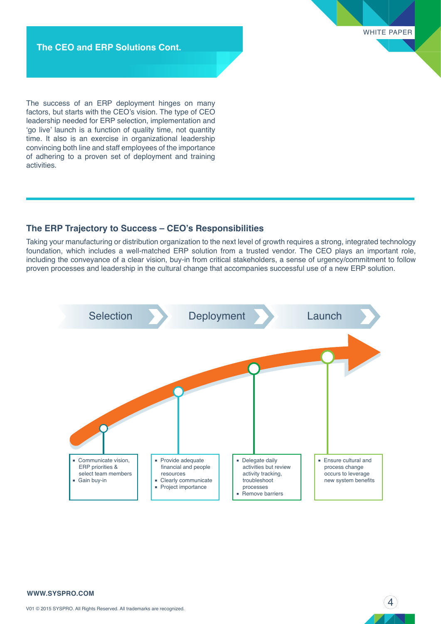WHITE PAPER

**The CEO and ERP Solutions Cont.**

The success of an ERP deployment hinges on many factors, but starts with the CEO's vision. The type of CEO leadership needed for ERP selection, implementation and 'go live' launch is a function of quality time, not quantity time. It also is an exercise in organizational leadership convincing both line and staff employees of the importance of adhering to a proven set of deployment and training activities.

#### **The ERP Trajectory to Success – CEO's Responsibilities**

Taking your manufacturing or distribution organization to the next level of growth requires a strong, integrated technology foundation, which includes a well-matched ERP solution from a trusted vendor. The CEO plays an important role, including the conveyance of a clear vision, buy-in from critical stakeholders, a sense of urgency/commitment to follow proven processes and leadership in the cultural change that accompanies successful use of a new ERP solution.